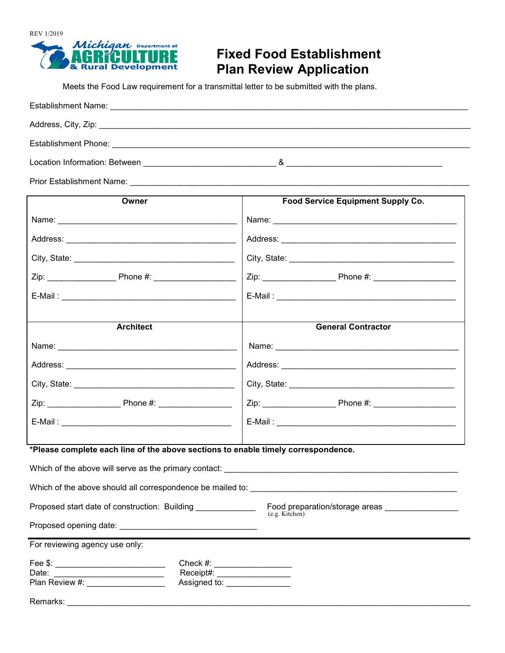

## **Fixed Food Establishment Plan Review Application**

Meets the Food Law requirement for a transmittal letter to be submitted with the plans.

| Location Information: Between <b>Example 2018</b> | & |
|---------------------------------------------------|---|
| <b>Prior Establishment Name:</b>                  |   |

**Owner** Name: \_\_\_\_\_\_\_\_\_\_\_\_\_\_\_\_\_\_\_\_\_\_\_\_\_\_\_\_\_\_\_\_\_\_\_\_\_\_\_ Address: \_\_\_\_\_\_\_\_\_\_\_\_\_\_\_\_\_\_\_\_\_\_\_\_\_\_\_\_\_\_\_\_\_\_\_\_\_ City, State:  $\Box$ Zip: \_\_\_\_\_\_\_\_\_\_\_\_\_\_\_ Phone #: \_\_\_\_\_\_\_\_\_\_\_\_\_\_\_\_\_\_ E-Mail : \_\_\_\_\_\_\_\_\_\_\_\_\_\_\_\_\_\_\_\_\_\_\_\_\_\_\_\_\_\_\_\_\_\_\_\_\_\_ **Food Service Equipment Supply Co.** Name: \_\_\_\_\_\_\_\_\_\_\_\_\_\_\_\_\_\_\_\_\_\_\_\_\_\_\_\_\_\_\_\_\_\_\_\_\_\_\_\_ Address: \_\_\_\_\_\_\_\_\_\_\_\_\_\_\_\_\_\_\_\_\_\_\_\_\_\_\_\_\_\_\_\_\_\_\_\_\_\_ City, State:  $\mathsf{Zip:}\qquad \qquad \mathsf{Phone} \; \# \mathsf{:}$ E-Mail : \_\_\_\_\_\_\_\_\_\_\_\_\_\_\_\_\_\_\_\_\_\_\_\_\_\_\_\_\_\_\_\_\_\_\_\_\_\_\_ **Architect** Name: \_\_\_\_\_\_\_\_\_\_\_\_\_\_\_\_\_\_\_\_\_\_\_\_\_\_\_\_\_\_\_\_\_\_\_\_\_\_\_ Address: \_\_\_\_\_\_\_\_\_\_\_\_\_\_\_\_\_\_\_\_\_\_\_\_\_\_\_\_\_\_\_\_\_\_\_\_\_ City, State: \_\_\_\_\_\_\_\_\_\_\_\_\_\_\_\_\_\_\_\_\_\_\_\_\_\_\_\_\_\_\_\_\_\_\_ Zip: \_\_\_\_\_\_\_\_\_\_\_\_\_\_\_\_ Phone #: \_\_\_\_\_\_\_\_\_\_\_\_\_\_\_\_  $E$ -Mail :  $\overline{\phantom{a}}$ **General Contractor** Name: \_\_\_\_\_\_\_\_\_\_\_\_\_\_\_\_\_\_\_\_\_\_\_\_\_\_\_\_\_\_\_\_\_\_\_\_\_\_\_\_ Address: \_\_\_\_\_\_\_\_\_\_\_\_\_\_\_\_\_\_\_\_\_\_\_\_\_\_\_\_\_\_\_\_\_\_\_\_\_\_ City, State: \_\_\_\_\_\_\_\_\_\_\_\_\_\_\_\_\_\_\_\_\_\_\_\_\_\_\_\_\_\_\_\_\_\_\_\_ Zip: \_\_\_\_\_\_\_\_\_\_\_\_\_\_\_\_ Phone #: \_\_\_\_\_\_\_\_\_\_\_\_\_\_\_\_\_\_ E-Mail : \_\_\_\_\_\_\_\_\_\_\_\_\_\_\_\_\_\_\_\_\_\_\_\_\_\_\_\_\_\_\_\_\_\_\_\_\_\_\_ **\*Please complete each line of the above sections to enable timely correspondence.** Which of the above will serve as the primary contact: Which of the above should all correspondence be mailed to:

Proposed start date of construction: Building \_\_\_\_\_\_\_\_\_\_\_\_\_\_\_\_ Food preparation/storage areas \_\_\_\_\_\_\_\_\_\_\_\_\_\_\_ (e.g. Kitchen)

Proposed opening date: \_\_\_\_\_\_\_\_\_\_\_\_\_\_\_\_\_\_\_\_\_\_\_\_\_\_\_\_\_\_

For reviewing agency use only:

| Fee \$:        | Check $#$ :  |
|----------------|--------------|
| Date:          | Receipt#:    |
| Plan Review #: | Assigned to: |

Remarks: \_\_\_\_\_\_\_\_\_\_\_\_\_\_\_\_\_\_\_\_\_\_\_\_\_\_\_\_\_\_\_\_\_\_\_\_\_\_\_\_\_\_\_\_\_\_\_\_\_\_\_\_\_\_\_\_\_\_\_\_\_\_\_\_\_\_\_\_\_\_\_\_\_\_\_\_\_\_\_\_\_\_\_\_\_\_\_\_